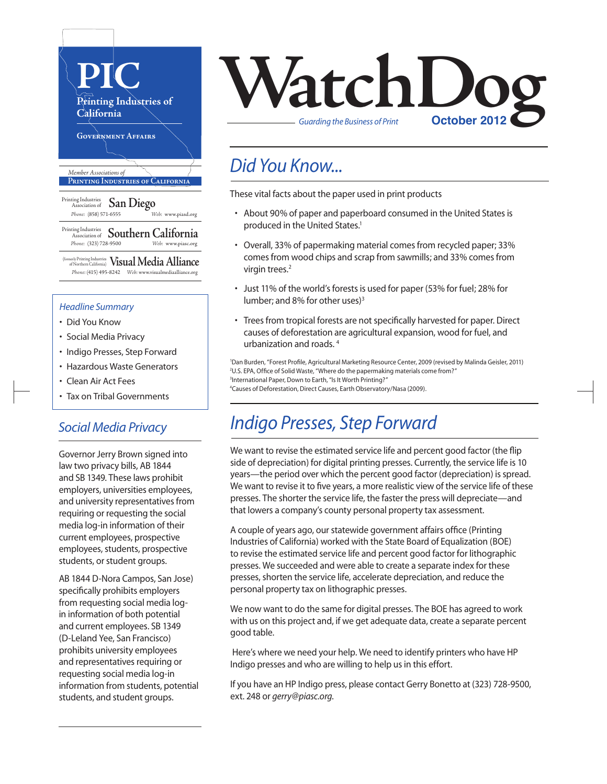

#### *Headline Summary*

- Did You Know
- Social Media Privacy
- Indigo Presses, Step Forward
- Hazardous Waste Generators
- Clean Air Act Fees
- Tax on Tribal Governments

#### *Social Media Privacy*

Governor Jerry Brown signed into law two privacy bills, AB 1844 and SB 1349. These laws prohibit employers, universities employees, and university representatives from requiring or requesting the social media log-in information of their current employees, prospective employees, students, prospective students, or student groups.

AB 1844 D-Nora Campos, San Jose) specifically prohibits employers from requesting social media login information of both potential and current employees. SB 1349 (D-Leland Yee, San Francisco) prohibits university employees and representatives requiring or requesting social media log-in information from students, potential students, and student groups.



#### *Did You Know...*

These vital facts about the paper used in print products

- About 90% of paper and paperboard consumed in the United States is produced in the United States.<sup>1</sup>
- Overall, 33% of papermaking material comes from recycled paper; 33% comes from wood chips and scrap from sawmills; and 33% comes from virgin trees.<sup>2</sup>
- Just 11% of the world's forests is used for paper (53% for fuel; 28% for lumber; and 8% for other uses)<sup>3</sup>
- Trees from tropical forests are not specifically harvested for paper. Direct causes of deforestation are agricultural expansion, wood for fuel, and urbanization and roads. <sup>4</sup>

 Dan Burden, "Forest Profile, Agricultural Marketing Resource Center, 2009 (revised by Malinda Geisler, 2011) U.S. EPA, Office of Solid Waste, "Where do the papermaking materials come from?" <sup>3</sup>International Paper, Down to Earth, "Is It Worth Printing?" Causes of Deforestation, Direct Causes, Earth Observatory/Nasa (2009).

## *Indigo Presses, Step Forward*

We want to revise the estimated service life and percent good factor (the flip side of depreciation) for digital printing presses. Currently, the service life is 10 years—the period over which the percent good factor (depreciation) is spread. We want to revise it to five years, a more realistic view of the service life of these presses. The shorter the service life, the faster the press will depreciate—and that lowers a company's county personal property tax assessment.

A couple of years ago, our statewide government affairs office (Printing Industries of California) worked with the State Board of Equalization (BOE) to revise the estimated service life and percent good factor for lithographic presses. We succeeded and were able to create a separate index for these presses, shorten the service life, accelerate depreciation, and reduce the personal property tax on lithographic presses.

We now want to do the same for digital presses. The BOE has agreed to work with us on this project and, if we get adequate data, create a separate percent good table.

Here's where we need your help. We need to identify printers who have HP Indigo presses and who are willing to help us in this effort.

If you have an HP Indigo press, please contact Gerry Bonetto at (323) 728-9500, ext. 248 or *gerry@piasc.org*.